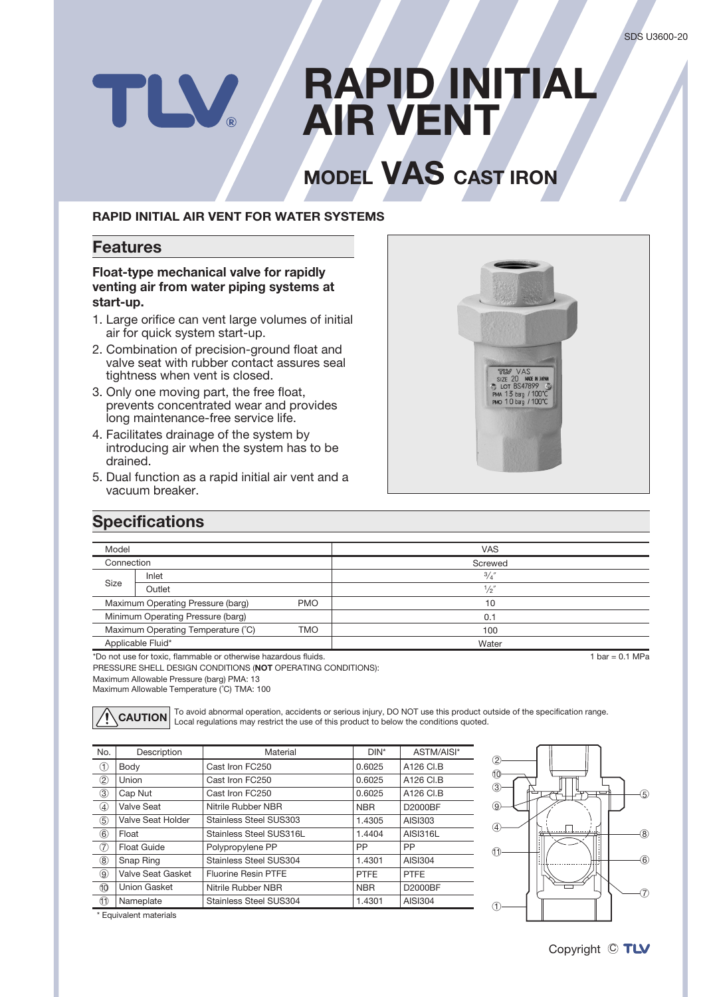# **RAPID INITIAL** TLV. **AIR VENT**

# **INODEL VAS CAST IRON**

#### **RAPID INITIAL AIR VENT FOR WATER SYSTEMS**

#### **Features**

#### **Float-type mechanical valve for rapidly** venting air from water piping systems at start-up.

- 1. Large orifice can vent large volumes of initial air for quick system start-up.
- 2. Combination of precision-ground float and valve seat with rubber contact assures seal tightness when vent is closed.
- 3. Only one moving part, the free float, prevents concentrated wear and provides long maintenance-free service life.
- 4. Facilitates drainage of the system by introducing air when the system has to be drained.
- 5. Dual function as a rapid initial air vent and a vacuum breaker.



## **Specifications**

| Model                                                          |        | <b>VAS</b>      |  |
|----------------------------------------------------------------|--------|-----------------|--|
| Connection                                                     |        | Screwed         |  |
| Size                                                           | Inlet  | $\frac{3}{4}$   |  |
|                                                                | Outlet | $\frac{1}{2}$   |  |
| Maximum Operating Pressure (barg)<br><b>PMO</b>                |        | 10              |  |
| Minimum Operating Pressure (barg)                              |        | 0.1             |  |
| Maximum Operating Temperature (°C)<br><b>TMO</b>               |        | 100             |  |
| Applicable Fluid*                                              |        | Water           |  |
| *Do not use for toxic, flammable or otherwise hazardous fluids |        | $hat = 0.1 MPa$ |  |

 $\overline{f}$  to not use for toxic, flammable or otherwise hazardous fluids.

PRESSURE SHELL DESIGN CONDITIONS (NOT OPERATING CONDITIONS):

Maximum Allowable Pressure (barg) PMA: 13

Maximum Allowable Temperature (°C) TMA: 100

| $\bigwedge$ CAUTION |
|---------------------|
|---------------------|

To avoid abnormal operation, accidents or serious injury, DO NOT use this product outside of the specification range.<br>Local regulations may restrict the use of this product to below the conditions guoted.

| No.                            | Description        | Material                      | $DIN^*$     | ASTM/AISI*      |
|--------------------------------|--------------------|-------------------------------|-------------|-----------------|
| ு                              | Body               | Cast Iron FC250               | 0.6025      | A126 CI.B       |
| $^{\rm \odot}$                 | Union              | Cast Iron FC250               | 0.6025      | A126 CI.B       |
| ③                              | Cap Nut            | Cast Iron FC250               | 0.6025      | A126 CI.B       |
| $\circled{4}$                  | Valve Seat         | Nitrile Rubber NBR            | <b>NBR</b>  | D2000BF         |
| $\circledS$                    | Valve Seat Holder  | Stainless Steel SUS303        | 1.4305      | AISI303         |
| 6                              | Float              | Stainless Steel SUS316L       | 1.4404      | <b>AISI316L</b> |
| $\circled7$                    | <b>Float Guide</b> | Polypropylene PP              | <b>PP</b>   | <b>PP</b>       |
| $\circledR$                    | Snap Ring          | Stainless Steel SUS304        | 1.4301      | AISI304         |
| 9                              | Valve Seat Gasket  | <b>Fluorine Resin PTFE</b>    | <b>PTFE</b> | <b>PTFE</b>     |
| 10                             | Union Gasket       | Nitrile Rubber NBR            | <b>NBR</b>  | D2000BF         |
| $\textcircled{\scriptsize{1}}$ | Nameplate          | <b>Stainless Steel SUS304</b> | 1.4301      | <b>AISI304</b>  |



\* Equivalent materials